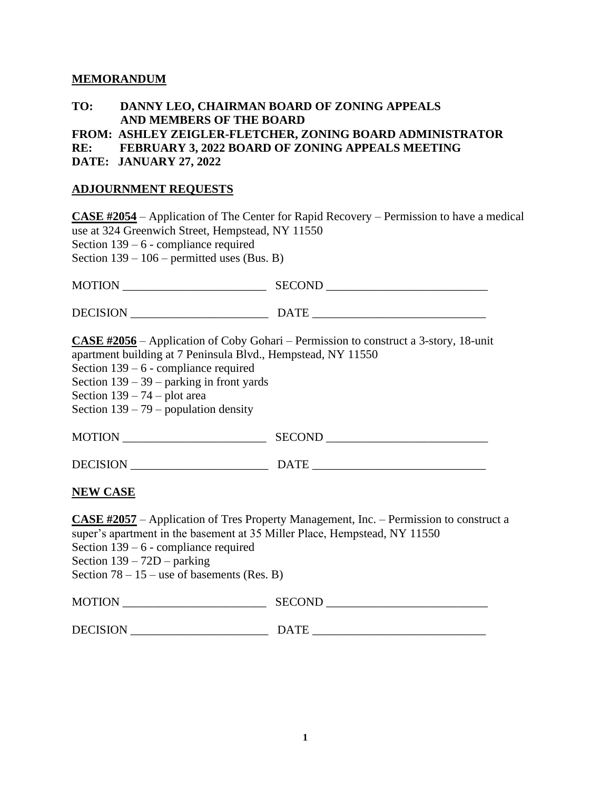## **MEMORANDUM**

## **TO: DANNY LEO, CHAIRMAN BOARD OF ZONING APPEALS AND MEMBERS OF THE BOARD**

**FROM: ASHLEY ZEIGLER-FLETCHER, ZONING BOARD ADMINISTRATOR**

**RE: FEBRUARY 3, 2022 BOARD OF ZONING APPEALS MEETING** 

**DATE: JANUARY 27, 2022**

## **ADJOURNMENT REQUESTS**

**CASE #2054** – Application of The Center for Rapid Recovery – Permission to have a medical use at 324 Greenwich Street, Hempstead, NY 11550 Section 139 – 6 - compliance required Section  $139 - 106$  – permitted uses (Bus. B)

MOTION \_\_\_\_\_\_\_\_\_\_\_\_\_\_\_\_\_\_\_\_\_\_\_\_ SECOND \_\_\_\_\_\_\_\_\_\_\_\_\_\_\_\_\_\_\_\_\_\_\_\_\_\_\_

DECISION \_\_\_\_\_\_\_\_\_\_\_\_\_\_\_\_\_\_\_\_\_\_\_ DATE \_\_\_\_\_\_\_\_\_\_\_\_\_\_\_\_\_\_\_\_\_\_\_\_\_\_\_\_\_

**CASE #2056** – Application of Coby Gohari – Permission to construct a 3-story, 18-unit apartment building at 7 Peninsula Blvd., Hempstead, NY 11550

Section 139 – 6 - compliance required

Section 139 – 39 – parking in front yards

Section  $139 - 74$  – plot area

Section  $139 - 79$  – population density

| <b>SECOND</b><br><b>MOTION</b> |  |
|--------------------------------|--|
|--------------------------------|--|

DECISION \_\_\_\_\_\_\_\_\_\_\_\_\_\_\_\_\_\_\_\_\_\_\_ DATE \_\_\_\_\_\_\_\_\_\_\_\_\_\_\_\_\_\_\_\_\_\_\_\_\_\_\_\_\_

**NEW CASE**

**CASE #2057** – Application of Tres Property Management, Inc. – Permission to construct a super's apartment in the basement at 35 Miller Place, Hempstead, NY 11550 Section 139 – 6 - compliance required Section 139 – 72D – parking Section  $78 - 15$  – use of basements (Res. B)

| <b>MOTION</b> | <b>SECOND</b><br><u>vuvvi</u> |  |
|---------------|-------------------------------|--|
|               |                               |  |

DECISION \_\_\_\_\_\_\_\_\_\_\_\_\_\_\_\_\_\_\_\_\_\_\_ DATE \_\_\_\_\_\_\_\_\_\_\_\_\_\_\_\_\_\_\_\_\_\_\_\_\_\_\_\_\_